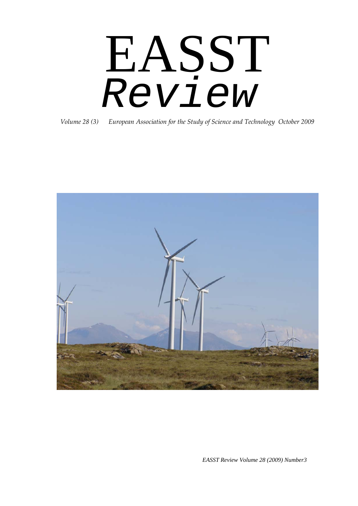# EASST *Review*

*Volume 28 (3) European Association for the Study of Science and Technology October 2009*



*EASST Review Volume 28 (2009) Number3*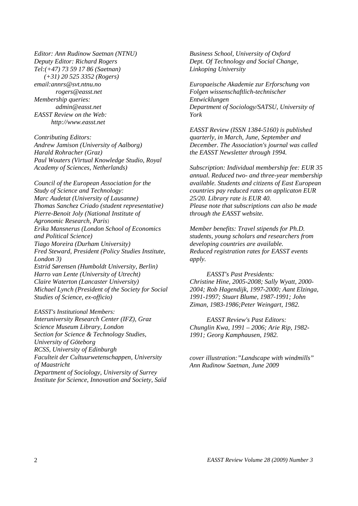*Editor: Ann Rudinow Saetnan (NTNU) Deputy Editor: Richard Rogers Tel:(+47) 73 59 17 86 (Saetnan) (+31) 20 525 3352 (Rogers) email:annrs@svt.ntnu.no rogers@easst.net Membership queries: admin@easst.net EASST Review on the Web: http://www.easst.net* 

*Contributing Editors: Andrew Jamison (University of Aalborg) Harald Rohracher (Graz) Paul Wouters (Virtual Knowledge Studio, Royal Academy of Sciences, Netherlands)* 

*Council of the European Association for the Study of Science and Technology: Marc Audetat (University of Lausanne) Thomas Sanchez Criado (student representative) Pierre-Benoit Joly (National Institute of Agronomic Research, Paris*) *Erika Mansnerus (London School of Economics and Political Science) Tiago Moreira (Durham University) Fred Steward, President (Policy Studies Institute, London 3) Estrid Sørensen (Humboldt University, Berlin) Harro van Lente (University of Utrecht) Claire Waterton (Lancaster University) Michael Lynch (President of the Society for Social Studies of Science, ex-officio)* 

*EASST's Institutional Members: Interuniversity Research Center (IFZ), Graz Science Museum Library, London Section for Science & Technology Studies, University of Göteborg RCSS, University of Edinburgh Faculteit der Cultuurwetenschappen, University of Maastricht Department of Sociology, University of Surrey Institute for Science, Innovation and Society, Saïd* 

*Business School, University of Oxford Dept. Of Technology and Social Change, Linkoping University* 

*Europaeische Akademie zur Erforschung von Folgen wissenschaftlich-technischer Entwicklungen Department of Sociology/SATSU, University of York* 

*EASST Review (ISSN 1384-5160) is published quarterly, in March, June, September and December. The Association's journal was called the EASST Newsletter through 1994.* 

*Subscription: Individual membership fee: EUR 35 annual. Reduced two- and three-year membership available. Students and citizens of East European countries pay reduced rates on applicaton EUR 25/20. Library rate is EUR 40. Please note that subscriptions can also be made through the EASST website.* 

*Member benefits: Travel stipends for Ph.D. students, young scholars and researchers from developing countries are available. Reduced registration rates for EASST events apply.* 

*EASST's Past Presidents: Christine Hine, 2005-2008; Sally Wyatt, 2000- 2004; Rob Hagendijk, 1997-2000; Aant Elzinga, 1991-1997; Stuart Blume, 1987-1991; John Ziman, 1983-1986;Peter Weingart, 1982.* 

*EASST Review's Past Editors: Chunglin Kwa, 1991 – 2006; Arie Rip, 1982- 1991; Georg Kamphausen, 1982.* 

*cover illustration:"Landscape with windmills" Ann Rudinow Saetnan, June 2009*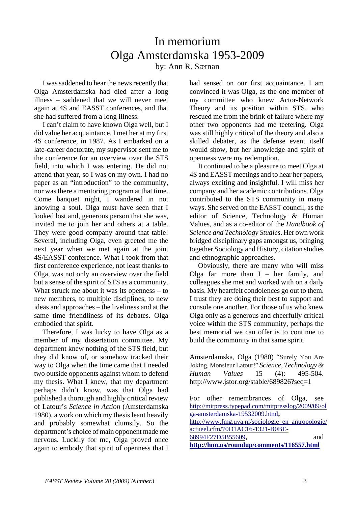## In memorium Olga Amsterdamska 1953-2009 by: Ann R. Sætnan

I was saddened to hear the news recently that Olga Amsterdamska had died after a long illness – saddened that we will never meet again at 4S and EASST conferences, and that she had suffered from a long illness.

I can't claim to have known Olga well, but I did value her acquaintance. I met her at my first 4S conference, in 1987. As I embarked on a late-career doctorate, my supervisor sent me to the conference for an overview over the STS field, into which I was entering. He did not attend that year, so I was on my own. I had no paper as an "introduction" to the community, nor was there a mentoring program at that time. Come banquet night, I wandered in not knowing a soul. Olga must have seen that I looked lost and, generous person that she was, invited me to join her and others at a table. They were good company around that table! Several, including Olga, even greeted me the next year when we met again at the joint 4S/EASST conference. What I took from that first conference experience, not least thanks to Olga, was not only an overview over the field but a sense of the spirit of STS as a community. What struck me about it was its openness – to new members, to multiple disciplines, to new ideas and approaches – the liveliness and at the same time friendliness of its debates. Olga embodied that spirit.

Therefore, I was lucky to have Olga as a member of my dissertation committee. My department knew nothing of the STS field, but they did know of, or somehow tracked their way to Olga when the time came that I needed two outside opponents against whom to defend my thesis. What I knew, that my department perhaps didn't know, was that Olga had published a thorough and highly critical review of Latour's *Science in Action* (Amsterdamska 1980), a work on which my thesis leant heavily and probably somewhat clumsily. So the department's choice of main opponent made me nervous. Luckily for me, Olga proved once again to embody that spirit of openness that I had sensed on our first acquaintance. I am convinced it was Olga, as the one member of my committee who knew Actor-Network Theory and its position within STS, who rescued me from the brink of failure where my other two opponents had me teetering. Olga was still highly critical of the theory and also a skilled debater, as the defense event itself would show, but her knowledge and spirit of openness were my redemption.

It continued to be a pleasure to meet Olga at 4S and EASST meetings and to hear her papers, always exciting and insightful. I will miss her company and her academic contributions. Olga contributed to the STS community in many ways. She served on the EASST council, as the editor of Science, Technology & Human Values, and as a co-editor of the *Handbook of Science and Technology Studies*. Her own work bridged disciplinary gaps amongst us, bringing together Sociology and History, citation studies and ethnographic approaches.

Obviously, there are many who will miss Olga far more than  $I - her$  family, and colleagues she met and worked with on a daily basis. My heartfelt condolences go out to them. I trust they are doing their best to support and console one another. For those of us who knew Olga only as a generous and cheerfully critical voice within the STS community, perhaps the best memorial we can offer is to continue to build the community in that same spirit.

Amsterdamska, Olga (1980) "Surely You Are Joking, Monsieur Latour!" *Science, Technology & Human Values* 15 (4): 495-504. http://www.jstor.org/stable/689826?seq=1

For other remembrances of Olga, see [http://mitpress.typepad.com/mitpresslog/2009/09/ol](http://mitpress.typepad.com/mitpresslog/2009/09/olga-amsterdamska-19532009.html) [ga-amsterdamska-19532009.html](http://mitpress.typepad.com/mitpresslog/2009/09/olga-amsterdamska-19532009.html)**,**  [http://www.fmg.uva.nl/sociologie\\_en\\_antropologie/](http://www.fmg.uva.nl/sociologie_en_antropologie/actueel.cfm/70D1AC16-1321-B0BE-68994F27D5B55609) [actueel.cfm/70D1AC16-1321-B0BE-](http://www.fmg.uva.nl/sociologie_en_antropologie/actueel.cfm/70D1AC16-1321-B0BE-68994F27D5B55609)[68994F27D5B55609](http://www.fmg.uva.nl/sociologie_en_antropologie/actueel.cfm/70D1AC16-1321-B0BE-68994F27D5B55609)**,** and **<http://hnn.us/roundup/comments/116557.html>**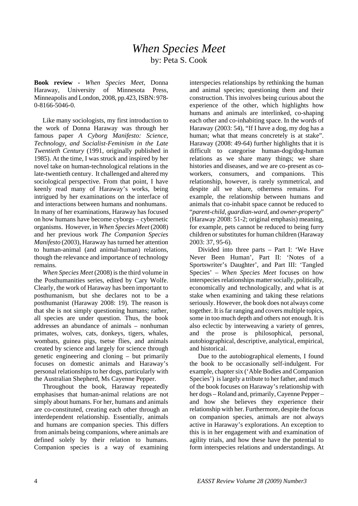### *When Species Meet* by: Peta S. Cook

**Book review -** *When Species Meet*, Donna Haraway, University of Minnesota Press, Minneapolis and London, 2008, pp.423, ISBN: 978- 0-8166-5046-0.

Like many sociologists, my first introduction to the work of Donna Haraway was through her famous paper *A Cyborg Manifesto: Science, Technology, and Socialist-Feminism in the Late Twentieth Century* (1991, originally published in 1985). At the time, I was struck and inspired by her novel take on human-technological relations in the late-twentieth century. It challenged and altered my sociological perspective. From that point, I have keenly read many of Haraway's works, being intrigued by her examinations on the interface of and interactions between humans and nonhumans. In many of her examinations, Haraway has focused on how humans have become cyborgs – cybernetic organisms. However, in *When Species Meet* (2008) and her previous work *The Companion Species Manifesto* (2003), Haraway has turned her attention to human-animal (and animal-human) relations, though the relevance and importance of technology remains.

*When Species Meet* (2008) is the third volume in the Posthumanities series, edited by Cary Wolfe. Clearly, the work of Haraway has been important to posthumanism, but she declares not to be a posthumanist (Haraway 2008: 19). The reason is that she is not simply questioning humans; rather, all species are under question. Thus, the book addresses an abundance of animals – nonhuman primates, wolves, cats, donkeys, tigers, whales, wombats, guinea pigs, tsetse flies, and animals created by science and largely for science through genetic engineering and cloning – but primarily focuses on domestic animals and Haraway's personal relationships to her dogs, particularly with the Australian Shepherd, Ms Cayenne Pepper.

Throughout the book, Haraway repeatedly emphasises that human-animal relations are not simply about humans. For her, humans and animals are co-constituted, creating each other through an interdependent relationship. Essentially, animals and humans are companion species. This differs from animals being companions, where animals are defined solely by their relation to humans. Companion species is a way of examining

interspecies relationships by rethinking the human and animal species; questioning them and their construction. This involves being curious about the experience of the other, which highlights how humans and animals are interlinked, co-shaping each other and co-inhabiting space. In the words of Haraway (2003: 54), "If I have a dog, my dog has a human; what that means concretely is at stake". Haraway (2008: 49-64) further highlights that it is difficult to categorise human-dog/dog-human relations as we share many things; we share histories and diseases, and we are co-present as coworkers, consumers, and companions. This relationship, however, is rarely symmetrical, and despite all we share, otherness remains. For example, the relationship between humans and animals that co-inhabit space cannot be reduced to "*parent-child, guardian-ward,* and *owner-property*" (Haraway 2008: 51-2; original emphasis) meaning, for example, pets cannot be reduced to being furry children or substitutes for human children (Haraway 2003: 37, 95-6).

Divided into three parts – Part I: 'We Have Never Been Human', Part II: 'Notes of a Sportswriter's Daughter', and Part III: 'Tangled Species' – *When Species Meet* focuses on how interspecies relationships matter socially, politically, economically and technologically, and what is at stake when examining and taking these relations seriously. However, the book does not always come together. It is far ranging and covers multiple topics, some in too much depth and others not enough. It is also eclectic by interweaving a variety of genres, and the prose is philosophical, personal, autobiographical, descriptive, analytical, empirical, and historical.

Due to the autobiographical elements, I found the book to be occasionally self-indulgent. For example, chapter six ('Able Bodies and Companion Species') is largely a tribute to her father, and much of the book focuses on Haraway's relationship with her dogs – Roland and, primarily, Cayenne Pepper – and how she believes they experience their relationship with her. Furthermore, despite the focus on companion species, animals are not always active in Haraway's explorations. An exception to this is in her engagement with and examination of agility trials, and how these have the potential to form interspecies relations and understandings. At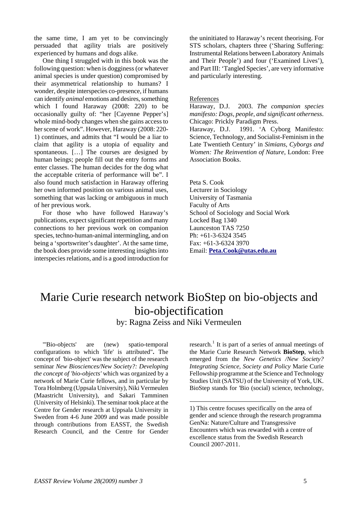the same time, I am yet to be convincingly persuaded that agility trials are positively experienced by humans and dogs alike.

One thing I struggled with in this book was the following question: when is dogginess (or whatever animal species is under question) compromised by their asymmetrical relationship to humans? I wonder, despite interspecies co-presence, if humans can identify *animal* emotions and desires, something which I found Haraway (2008: 220) to be occasionally guilty of: "her [Cayenne Pepper's] whole mind-body changes when she gains access to her scene of work". However, Haraway (2008: 220- 1) continues, and admits that "I would be a liar to claim that agility is a utopia of equality and spontaneous. […] The courses are designed by human beings; people fill out the entry forms and enter classes. The human decides for the dog what the acceptable criteria of performance will be". I also found much satisfaction in Haraway offering her own informed position on various animal uses, something that was lacking or ambiguous in much of her previous work.

For those who have followed Haraway's publications, expect significant repetition and many connections to her previous work on companion species, techno-human-animal intermingling, and on being a 'sportswriter's daughter'. At the same time, the book does provide some interesting insights into interspecies relations, and is a good introduction for

the uninitiated to Haraway's recent theorising. For STS scholars, chapters three ('Sharing Suffering: Instrumental Relations between Laboratory Animals and Their People') and four ('Examined Lives'), and Part III: 'Tangled Species', are very informative and particularly interesting.

#### References

Haraway, D.J. 2003. *The companion species manifesto: Dogs, people, and significant otherness*. Chicago: Prickly Paradigm Press.

Haraway, D.J. 1991. 'A Cyborg Manifesto: Science, Technology, and Socialist-Feminism in the Late Twentieth Century' in *Simians, Cyborgs and Women: The Reinvention of Nature*, London: Free Association Books.

Peta S. Cook Lecturer in Sociology University of Tasmania Faculty of Arts School of Sociology and Social Work Locked Bag 1340 Launceston TAS 7250 Ph: +61-3-6324 3545 Fax: +61-3-6324 3970 Email: **[Peta.Cook@utas.edu.au](mailto:Peta.Cook@utas.edu.au)**

## Marie Curie research network BioStep on bio-objects and bio-objectification

by: Ragna Zeiss and Niki Vermeulen

-

<span id="page-4-0"></span>"'Bio-objects' are (new) spatio-temporal configurations to which 'life' is attributed"**.** The concept of 'bio-object' was the subject of the research seminar *New Biosciences/New Society?: Developing the concept of 'bio-objects'* which was organized by a network of Marie Curie fellows, and in particular by Tora Holmberg (Uppsala University), Niki Vermeulen (Maastricht University), and Sakari Tamminen (University of Helsinki). The seminar took place at the Centre for Gender research at Uppsala University in Sweden from 4-6 June 2009 and was made possible through contributions from EASST, the Swedish Research Council, and the Centre for Gender

research.<sup>[1](#page-4-0)</sup> It is part of a series of annual meetings of the Marie Curie Research Network **BioStep**, which emerged from the *New Genetics /New Society? Integrating Science, Society and Policy* Marie Curie Fellowship programme at the Science and Technology Studies Unit (SATSU) of the University of York, UK. BioStep stands for 'Bio (social) science, technology,

<sup>1)</sup> This centre focuses specifically on the area of gender and science through the research programma GenNa: Nature/Culture and Transgressive Encounters which was rewarded with a centre of excellence status from the Swedish Research Council 2007-2011.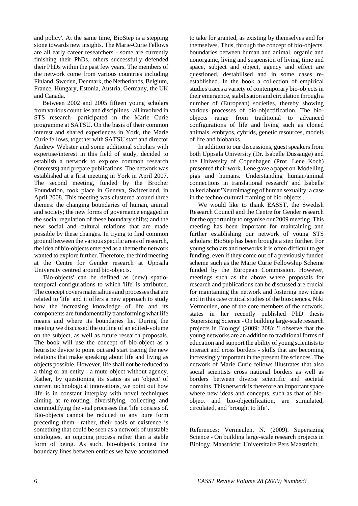and policy'. At the same time, BioStep is a stepping stone towards new insights. The Marie-Curie Fellows are all early career researchers - some are currently finishing their PhDs, others successfully defended their PhDs within the past few years. The members of the network come from various countries including Finland, Sweden, Denmark, the Netherlands, Belgium, France, Hungary, Estonia, Austria, Germany, the UK and Canada.

Between 2002 and 2005 fifteen young scholars from various countries and disciplines –all involved in STS research- participated in the Marie Curie programme at SATSU. On the basis of their common interest and shared experiences in York, the Marie Curie fellows, together with SATSU staff and director Andrew Webster and some additional scholars with expertise/interest in this field of study, decided to establish a network to explore common research (interests) and prepare publications. The network was established at a first meeting in York in April 2007. The second meeting, funded by the Brocher Foundation, took place in Geneva, Switzerland, in April 2008. This meeting was clustered around three themes: the changing boundaries of human, animal and society; the new forms of governance engaged in the social regulation of these boundary shifts; and the new social and cultural relations that are made possible by these changes. In trying to find common ground between the various specific areas of research, the idea of bio-objects emerged as a theme the network wanted to explore further. Therefore, the third meeting at the Centre for Gender research at Uppsala University centred around bio-objects.

'Bio-objects' can be defined as (new) spatiotemporal configurations to which 'life' is attributed. The concept covers materialities and processes that are related to 'life' and it offers a new approach to study how the increasing knowledge of life and its components are fundamentally transforming what life means and where its boundaries lie. During the meeting we discussed the outline of an edited-volume on the subject, as well as future research proposals. The book will use the concept of bio-object as a heuristic device to point out and start tracing the new relations that make speaking about life and living as objects possible. However, life shall not be reduced to a thing or an entity - a mute object without agency. Rather, by questioning its status as an 'object' of current technological innovations, we point out how life is in constant interplay with novel techniques aiming at re-routing, diversifying, collecting and commodifying the vital processes that 'life' consists of. Bio-objects cannot be reduced to any pure form preceding them - rather, their basis of existence is something that could be seen as a network of unstable ontologies, an ongoing process rather than a stable form of being. As such, bio-objects contest the boundary lines between entities we have accustomed

to take for granted, as existing by themselves and for themselves. Thus, through the concept of bio-objects, boundaries between human and animal, organic and nonorganic, living and suspension of living, time and space, subject and object, agency and effect are questioned, destabilised and in some cases reestablished. In the book a collection of empirical studies traces a variety of contemporary bio-objects in their emergence, stabilisation and circulation through a number of (European) societies, thereby showing various processes of bio-objectification. The bioobjects range from traditional to advanced configurations of life and living such as cloned animals, embryos, cybrids, genetic resources, models of life and biobanks.

In addition to our discussions, guest speakers from both Uppsala University (Dr. Isabelle Dussauge) and the University of Copenhagen (Prof. Lene Koch) presented their work. Lene gave a paper on 'Modelling pigs and humans. Understanding human/animal connections in translational research' and Isabelle talked about 'Neuroimaging of human sexuality: a case in the techno-cultural framing of bio-objects'.

We would like to thank EASST, the Swedish Research Council and the Centre for Gender research for the opportunity to organise our 2009 meeting. This meeting has been important for maintaining and further establishing our network of young STS scholars: BioStep has been brought a step further. For young scholars and networks it is often difficult to get funding, even if they come out of a previously funded scheme such as the Marie Curie Fellowship Scheme funded by the European Commission. However, meetings such as the above where proposals for research and publications can be discussed are crucial for maintaining the network and fostering new ideas and in this case critical studies of the biosciences. Niki Vermeulen, one of the core members of the network, states in her recently published PhD thesis 'Supersizing Science - On building large-scale research projects in Biology' (2009: 208): 'I observe that the young networks are an addition to traditional forms of education and support the ability of young scientists to interact and cross borders - skills that are becoming increasingly important in the present life sciences'. The network of Marie Curie fellows illustrates that also social scientists cross national borders as well as borders between diverse scientific and societal domains. This network is therefore an important space where new ideas and concepts, such as that of bioobject and bio-objectification, are stimulated, circulated, and 'brought to life'.

References: Vermeulen, N. (2009). Supersizing Science - On building large-scale research projects in Biology. Maastricht: Universitaire Pers Maastricht.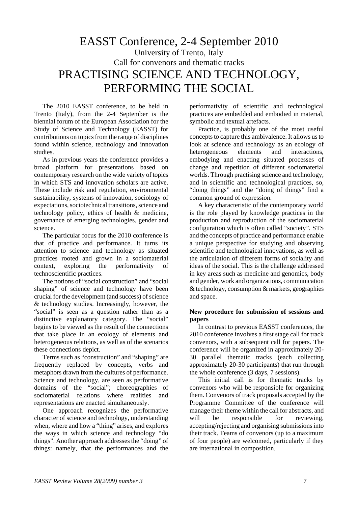## EASST Conference, 2-4 September 2010 University of Trento, Italy Call for convenors and thematic tracks PRACTISING SCIENCE AND TECHNOLOGY, PERFORMING THE SOCIAL

The 2010 EASST conference, to be held in Trento (Italy), from the 2-4 September is the biennial forum of the European Association for the Study of Science and Technology (EASST) for contributions on topics from the range of disciplines found within science, technology and innovation studies.

As in previous years the conference provides a broad platform for presentations based on contemporary research on the wide variety of topics in which STS and innovation scholars are active. These include risk and regulation, environmental sustainability, systems of innovation, sociology of expectations, sociotechnical transitions, science and technology policy, ethics of health & medicine, governance of emerging technologies, gender and science.

The particular focus for the 2010 conference is that of practice and performance. It turns its attention to science and technology as situated practices rooted and grown in a sociomaterial context, exploring the performativity of technoscientific practices.

The notions of "social construction" and "social shaping" of science and technology have been crucial for the development (and success) of science & technology studies. Increasingly, however, the "social" is seen as a question rather than as a distinctive explanatory category. The "social" begins to be viewed as the result of the connections that take place in an ecology of elements and heterogeneous relations, as well as of the scenarios these connections depict.

Terms such as "construction" and "shaping" are frequently replaced by concepts, verbs and metaphors drawn from the cultures of performance. Science and technology, are seen as performative domains of the "social"; choreographies of sociomaterial relations where realities and representations are enacted simultaneously.

One approach recognizes the performative character of science and technology, understanding when, where and how a "thing" arises, and explores the ways in which science and technology "do things". Another approach addresses the "doing" of things: namely, that the performances and the

performativity of scientific and technological practices are embedded and embodied in material, symbolic and textual artefacts.

Practice, is probably one of the most useful concepts to capture this ambivalence. It allows us to look at science and technology as an ecology of heterogeneous elements and interactions, embodying and enacting situated processes of change and repetition of different sociomaterial worlds. Through practising science and technology, and in scientific and technological practices, so, "doing things" and the "doing of things" find a common ground of expression.

A key characteristic of the contemporary world is the role played by knowledge practices in the production and reproduction of the sociomaterial configuration which is often called "society". STS and the concepts of practice and performance enable a unique perspective for studying and observing scientific and technological innovations, as well as the articulation of different forms of sociality and ideas of the social. This is the challenge addressed in key areas such as medicine and genomics, body and gender, work and organizations, communication & technology, consumption & markets, geographies and space.

#### **New procedure for submission of sessions and papers**

In contrast to previous EASST conferences, the 2010 conference involves a first stage call for track convenors, with a subsequent call for papers. The conference will be organized in approximately 20- 30 parallel thematic tracks (each collecting approximately 20-30 participants) that run through the whole conference (3 days, 7 sessions).

This initial call is for thematic tracks by convenors who will be responsible for organizing them. Convenors of track proposals accepted by the Programme Committee of the conference will manage their theme within the call for abstracts, and will be responsible for reviewing, accepting/rejecting and organising submissions into their track. Teams of convenors (up to a maximum of four people) are welcomed, particularly if they are international in composition.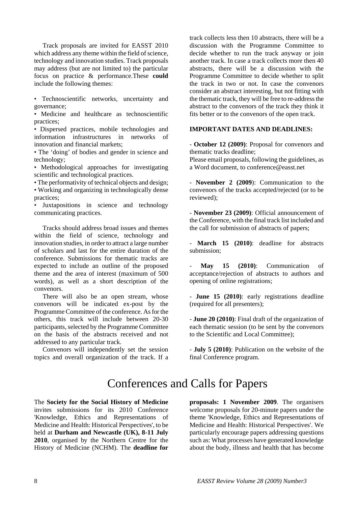Track proposals are invited for EASST 2010 which address any theme within the field of science, technology and innovation studies. Track proposals may address (but are not limited to) the particular focus on practice & performance.These **could** include the following themes:

• Technoscientific networks, uncertainty and governance;

• Medicine and healthcare as technoscientific practices;

• Dispersed practices, mobile technologies and information infrastructures in networks of innovation and financial markets;

• The 'doing' of bodies and gender in science and technology;

• Methodological approaches for investigating scientific and technological practices.

• The performativity of technical objects and design; • Working and organizing in technologically dense practices;

• Juxtapositions in science and technology communicating practices.

Tracks should address broad issues and themes within the field of science, technology and innovation studies, in order to attract a large number of scholars and last for the entire duration of the conference. Submissions for thematic tracks are expected to include an outline of the proposed theme and the area of interest (maximum of 500 words), as well as a short description of the convenors.

There will also be an open stream, whose convenors will be indicated ex-post by the Programme Committee of the conference. As for the others, this track will include between 20-30 participants, selected by the Programme Committee on the basis of the abstracts received and not addressed to any particular track.

Convenors will independently set the session topics and overall organization of the track. If a track collects less then 10 abstracts, there will be a discussion with the Programme Committee to decide whether to run the track anyway or join another track. In case a track collects more then 40 abstracts, there will be a discussion with the Programme Committee to decide whether to split the track in two or not. In case the convenors consider an abstract interesting, but not fitting with the thematic track, they will be free to re-address the abstract to the convenors of the track they think it fits better or to the convenors of the open track.

#### **IMPORTANT DATES AND DEADLINES:**

- **October 12 (2009)**: Proposal for convenors and thematic tracks deadline;

Please email proposals, following the guidelines, as a Word document, to conference@easst.net

- **November 2 (2009**): Communication to the convenors of the tracks accepted/rejected (or to be reviewed);

- **November 23 (2009)**: Official announcement of the Conference, with the final track list included and the call for submission of abstracts of papers;

- **March 15 (2010)**: deadline for abstracts submission;

May 15 (2010): Communication of acceptance/rejection of abstracts to authors and opening of online registrations;

- **June 15 (2010)**: early registrations deadline (required for all presenters);

- **June 20 (2010)**: Final draft of the organization of each thematic session (to be sent by the convenors to the Scientific and Local Committee);

- **July 5 (2010)**: Publication on the website of the final Conference program.

## Conferences and Calls for Papers

The **Society for the Social History of Medicine** invites submissions for its 2010 Conference 'Knowledge, Ethics and Representations of Medicine and Health: Historical Perspectives', to be held at **Durham and Newcastle (UK), 8-11 July 2010**, organised by the Northern Centre for the History of Medicine (NCHM). The **deadline for**  **proposals: 1 November 2009**. The organisers welcome proposals for 20-minute papers under the theme 'Knowledge, Ethics and Representations of Medicine and Health: Historical Perspectives'. We particularly encourage papers addressing questions such as: What processes have generated knowledge about the body, illness and health that has become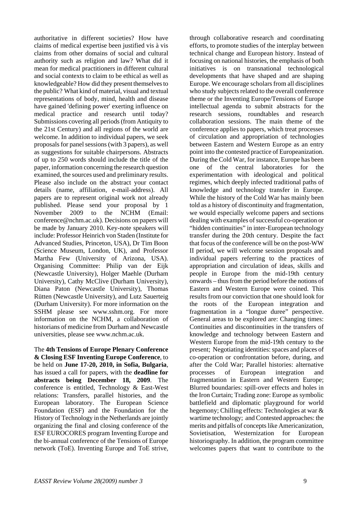authoritative in different societies? How have claims of medical expertise been justified vis à vis claims from other domains of social and cultural authority such as religion and law? What did it mean for medical practitioners in different cultural and social contexts to claim to be ethical as well as knowledgeable? How did they present themselves to the public? What kind of material, visual and textual representations of body, mind, health and disease have gained 'defining power' exerting influence on medical practice and research until today? Submissions covering all periods (from Antiquity to the 21st Century) and all regions of the world are welcome. In addition to individual papers, we seek proposals for panel sessions (with 3 papers), as well as suggestions for suitable chairpersons. Abstracts of up to 250 words should include the title of the paper, information concerning the research question examined, the sources used and preliminary results. Please also include on the abstract your contact details (name, affiliation, e-mail-address). All papers are to represent original work not already published. Please send your proposal by 1 November 2009 to the NCHM (Email: conference@nchm.ac.uk). Decisions on papers will be made by January 2010. Key-note speakers will include: Professor Heinrich von Staden (Institute for Advanced Studies, Princeton, USA), Dr Tim Boon (Science Museum, London, UK), and Professor Martha Few (University of Arizona, USA). Organising Committee: Philip van der Eijk (Newcastle University), Holger Maehle (Durham University), Cathy McClive (Durham University), Diana Paton (Newcastle University), Thomas Rütten (Newcastle University), and Lutz Sauerteig (Durham University). For more information on the SSHM please see www.sshm.org. For more information on the NCHM, a collaboration of historians of medicine from Durham and Newcastle universities, please see www.nchm.ac.uk.

The **4th Tensions of Europe Plenary Conference & Closing ESF Inventing Europe Conference**, to be held on **June 17-20, 2010, in Sofia, Bulgaria**, has issued a call for papers, with the **deadline for abstracts being December 18, 2009**. The conference is entitled, Technology & East-West relations: Transfers, parallel histories, and the European laboratory. The European Science Foundation (ESF) and the Foundation for the History of Technology in the Netherlands are jointly organizing the final and closing conference of the ESF EUROCORES program Inventing Europe and the bi-annual conference of the Tensions of Europe network (ToE). Inventing Europe and ToE strive,

through collaborative research and coordinating efforts, to promote studies of the interplay between technical change and European history. Instead of focusing on national histories, the emphasis of both initiatives is on transnational technological developments that have shaped and are shaping Europe. We encourage scholars from all disciplines who study subjects related to the overall conference theme or the Inventing Europe/Tensions of Europe intellectual agenda to submit abstracts for the research sessions, roundtables and research collaboration sessions. The main theme of the conference applies to papers, which treat processes of circulation and appropriation of technologies between Eastern and Western Europe as an entry point into the contested practice of Europeanization. During the Cold War, for instance, Europe has been one of the central laboratories for the experimentation with ideological and political regimes, which deeply infected traditional paths of knowledge and technology transfer in Europe. While the history of the Cold War has mainly been told as a history of discontinuity and fragmentation, we would especially welcome papers and sections dealing with examples of successful co-operation or "hidden continuities" in inter-European technology transfer during the 20th century. Despite the fact that focus of the conference will be on the post-WW II period, we will welcome session proposals and individual papers referring to the practices of appropriation and circulation of ideas, skills and people in Europe from the mid-19th century onwards – thus from the period before the notions of Eastern and Western Europe were coined. This results from our conviction that one should look for the roots of the European integration and fragmentation in a "longue duree" perspective. General areas to be explored are: Changing times: Continuities and discontinuities in the transfers of knowledge and technology between Eastern and Western Europe from the mid-19th century to the present; Negotiating identities: spaces and places of co-operation or confrontation before, during, and after the Cold War; Parallel histories: alternative processes of European integration and fragmentation in Eastern and Western Europe; Blurred boundaries: spill-over effects and holes in the Iron Curtain; Trading zone: Europe as symbolic battlefield and diplomatic playground for world hegemony; Chilling effects: Technologies at war & wartime technology; and Contested approaches: the merits and pitfalls of concepts like Americanization, Sovietisation, Westernization for European historiography. In addition, the program committee welcomes papers that want to contribute to the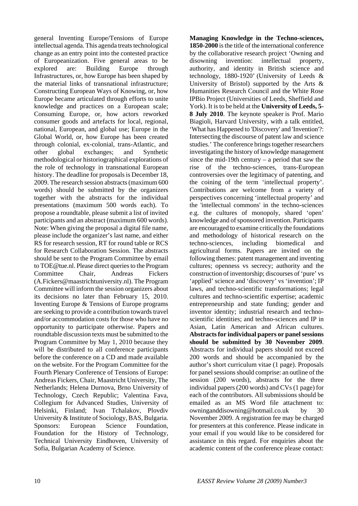general Inventing Europe/Tensions of Europe intellectual agenda. This agenda treats technological change as an entry point into the contested practice of Europeanization. Five general areas to be explored are: Building Europe through Infrastructures, or, how Europe has been shaped by the material links of transnational infrastructure; Constructing European Ways of Knowing, or, how Europe became articulated through efforts to unite knowledge and practices on a European scale; Consuming Europe, or, how actors reworked consumer goods and artefacts for local, regional, national, European, and global use; Europe in the Global World, or, how Europe has been created through colonial, ex-colonial, trans-Atlantic, and other global exchanges; and Synthetic methodological or historiographical explorations of the role of technology in transnational European history. The deadline for proposals is December 18, 2009. The research session abstracts (maximum 600 words) should be submitted by the organizers together with the abstracts for the individual presentations (maximum 500 words each). To propose a roundtable, please submit a list of invited participants and an abstract (maximum 600 words). Note: When giving the proposal a digital file name, please include the organizer's last name, and either RS for research session, RT for round table or RCS for Research Collaboration Session. The abstracts should be sent to the Program Committee by email to TOE@tue.nl. Please direct queries to the Program Committee Chair, Andreas Fickers (A.Fickers@maastrichtuniversity.nl). The Program Committee will inform the session organizers about its decisions no later than February 15, 2010. Inventing Europe & Tensions of Europe programs are seeking to provide a contribution towards travel and/or accommodation costs for those who have no opportunity to participate otherwise. Papers and roundtable discussion texts must be submitted to the Program Committee by May 1, 2010 because they will be distributed to all conference participants before the conference on a CD and made available on the website. For the Program Committee for the Fourth Plenary Conference of Tensions of Europe: Andreas Fickers, Chair, Maastricht University, The Netherlands; Helena Durnova, Brno University of Technology, Czech Republic; Valentina Fava, Collegium for Advanced Studies, University of Helsinki, Finland; Ivan Tchalakov, Plovdiv University & Institute of Sociology, BAS, Bulgaria. Sponsors: European Science Foundation, Foundation for the History of Technology, Technical University Eindhoven, University of Sofia, Bulgarian Academy of Science.

**Managing Knowledge in the Techno-sciences, 1850-2000** is the title of the international conference by the collaborative research project 'Owning and disowning invention: intellectual property, authority, and identity in British science and technology, 1880-1920' (University of Leeds & University of Bristol) supported by the Arts & Humanities Research Council and the White Rose IPBio Project (Universities of Leeds, Sheffield and York). It is to be held at the **University of Leeds, 5- 8 July 2010**. The keynote speaker is Prof. Mario Biagioli, Harvard University, with a talk entitled, 'What has Happened to 'Discovery' and 'Invention'?: Intersecting the discourse of patent law and science studies.' The conference brings together researchers investigating the history of knowledge management since the mid-19th century  $-$  a period that saw the rise of the techno-sciences, trans-European controversies over the legitimacy of patenting, and the coining of the term 'intellectual property'. Contributions are welcome from a variety of perspectives concerning 'intellectual property' and the 'intellectual commons' in the techno-sciences e.g. the cultures of monopoly, shared 'open' knowledge and of sponsored invention. Participants are encouraged to examine critically the foundations and methodology of historical research on the techno-sciences, including biomedical and agricultural forms. Papers are invited on the following themes: patent management and inventing cultures; openness vs secrecy; authority and the construction of inventorship; discourses of 'pure' vs 'applied' science and 'discovery' vs 'invention'; IP laws, and techno-scientific transformations; legal cultures and techno-scientific expertise; academic entrepreneurship and state funding; gender and inventor identity; industrial research and technoscientific identities; and techno-sciences and IP in Asian, Latin American and African cultures. **Abstracts for individual papers or panel sessions should be submitted by 30 November 2009**. Abstracts for individual papers should not exceed 200 words and should be accompanied by the author's short curriculum vitae (1 page). Proposals for panel sessions should comprise: an outline of the session (200 words), abstracts for the three individual papers (200 words) and CVs (1 page) for each of the contributors. All submissions should be emailed as an MS Word file attachment to: owninganddisowning@hotmail.co.uk by 30 November 2009. A registration fee may be charged for presenters at this conference. Please indicate in your email if you would like to be considered for assistance in this regard. For enquiries about the academic content of the conference please contact: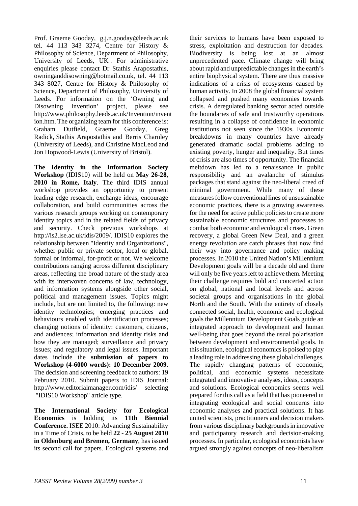Prof. Graeme Gooday, g.j.n.gooday@leeds.ac.uk tel. 44 113 343 3274, Centre for History & Philosophy of Science, Department of Philosophy, University of Leeds, UK . For administrative enquiries please contact Dr Stathis Arapostathis, owninganddisowning@hotmail.co.uk, tel. 44 113 343 8027, Centre for History & Philosophy of Science, Department of Philosophy, University of Leeds. For information on the 'Owning and Disowning Invention' project, please see http://www.philosophy.leeds.ac.uk/Invention/invent ion.htm. The organizing team for this conference is: Graham Dutfield, Graeme Gooday, Greg Radick, Stathis Arapostathis and Berris Charnley (University of Leeds), and Christine MacLeod and Jon Hopwood-Lewis (University of Bristol).

**The Identity in the Information Society Workshop** (IDIS10) will be held on **May 26-28, 2010 in Rome, Italy**. The third IDIS annual workshop provides an opportunity to present leading edge research, exchange ideas, encourage collaboration, and build communities across the various research groups working on contemporary identity topics and in the related fields of privacy and security. Check previous workshops at http://is2.lse.ac.uk/idis/2009/. IDIS10 explores the relationship between "Identity and Organizations", whether public or private sector, local or global, formal or informal, for-profit or not. We welcome contributions ranging across different disciplinary areas, reflecting the broad nature of the study area with its interwoven concerns of law, technology, and information systems alongside other social, political and management issues. Topics might include, but are not limited to, the following: new identity technologies; emerging practices and behaviours enabled with identification processes; changing notions of identity: customers, citizens, and audiences; information and identity risks and how they are managed; surveillance and privacy issues; and regulatory and legal issues. Important dates include the **submission of papers to Workshop (4-6000 words): 10 December 2009**. The decision and screening feedback to authors: 19 February 2010. Submit papers to IDIS Journal: http://www.editorialmanager.com/idis/ selecting "IDIS10 Workshop" article type.

**The International Society for Ecological Economics** is holding its **11th Biennial Conference.** ISEE 2010: Advancing Sustainability in a Time of Crisis, to be held **22 - 25 August 2010 in Oldenburg and Bremen, Germany**, has issued its second call for papers. Ecological systems and

their services to humans have been exposed to stress, exploitation and destruction for decades. Biodiversity is being lost at an almost unprecedented pace. Climate change will bring about rapid and unpredictable changes in the earth's entire biophysical system. There are thus massive indications of a crisis of ecosystems caused by human activity. In 2008 the global financial system collapsed and pushed many economies towards crisis. A deregulated banking sector acted outside the boundaries of safe and trustworthy operations resulting in a collapse of confidence in economic institutions not seen since the 1930s. Economic breakdowns in many countries have already generated dramatic social problems adding to existing poverty, hunger and inequality. But times of crisis are also times of opportunity. The financial meltdown has led to a renaissance in public responsibility and an avalanche of stimulus packages that stand against the neo-liberal creed of minimal government. While many of these measures follow conventional lines of unsustainable economic practices, there is a growing awareness for the need for active public policies to create more sustainable economic structures and processes to combat both economic and ecological crises. Green recovery, a global Green New Deal, and a green energy revolution are catch phrases that now find their way into governance and policy making processes. In 2010 the United Nation's Millennium Development goals will be a decade old and there will only be five years left to achieve them. Meeting their challenge requires bold and concerted action on global, national and local levels and across societal groups and organisations in the global North and the South. With the entirety of closely connected social, health, economic and ecological goals the Millennium Development Goals guide an integrated approach to development and human well-being that goes beyond the usual polarisation between development and environmental goals. In this situation, ecological economics is poised to play a leading role in addressing these global challenges. The rapidly changing patterns of economic, political, and economic systems necessitate integrated and innovative analyses, ideas, concepts and solutions. Ecological economics seems well prepared for this call as a field that has pioneered in integrating ecological and social concerns into economic analyses and practical solutions. It has united scientists, practitioners and decision makers from various disciplinary backgrounds in innovative and participatory research and decision-making processes. In particular, ecological economists have argued strongly against concepts of neo-liberalism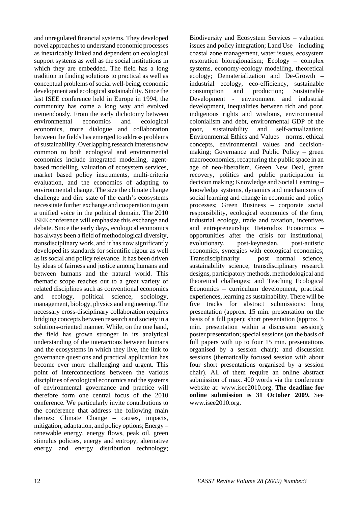and unregulated financial systems. They developed novel approaches to understand economic processes as inextricably linked and dependent on ecological support systems as well as the social institutions in which they are embedded. The field has a long tradition in finding solutions to practical as well as conceptual problems of social well-being, economic development and ecological sustainability. Since the last ISEE conference held in Europe in 1994, the community has come a long way and evolved tremendously. From the early dichotomy between environmental economics and ecological economics, more dialogue and collaboration between the fields has emerged to address problems of sustainability. Overlapping research interests now common to both ecological and environmental economics include integrated modelling, agentbased modelling, valuation of ecosystem services, market based policy instruments, multi-criteria evaluation, and the economics of adapting to environmental change. The size the climate change challenge and dire state of the earth's ecosystems necessitate further exchange and cooperation to gain a unified voice in the political domain. The 2010 ISEE conference will emphasize this exchange and debate. Since the early days, ecological economics has always been a field of methodological diversity, transdisciplinary work, and it has now significantly developed its standards for scientific rigour as well as its social and policy relevance. It has been driven by ideas of fairness and justice among humans and between humans and the natural world. This thematic scope reaches out to a great variety of related disciplines such as conventional economics and ecology, political science, sociology, management, biology, physics and engineering. The necessary cross-disciplinary collaboration requires bridging concepts between research and society in a solutions-oriented manner. While, on the one hand, the field has grown stronger in its analytical understanding of the interactions between humans and the ecosystems in which they live, the link to governance questions and practical application has become ever more challenging and urgent. This point of interconnections between the various disciplines of ecological economics and the systems of environmental governance and practice will therefore form one central focus of the 2010 conference. We particularly invite contributions to the conference that address the following main themes: Climate Change – causes, impacts, mitigation, adaptation, and policy options; Energy – renewable energy, energy flows, peak oil, green stimulus policies, energy and entropy, alternative energy and energy distribution technology;

Biodiversity and Ecosystem Services – valuation issues and policy integration; Land Use – including coastal zone management, water issues, ecosystem restoration bioregionalism; Ecology – complex systems, economy-ecology modelling, theoretical ecology; Dematerialization and De-Growth – industrial ecology, eco-efficiency, sustainable consumption and production; Sustainable Development - environment and industrial development, inequalities between rich and poor, indigenous rights and wisdoms, environmental colonialism and debt, environmental GDP of the poor, sustainability and self-actualization; Environmental Ethics and Values – norms, ethical concepts, environmental values and decisionmaking; Governance and Public Policy – green macroeconomics, recapturing the public space in an age of neo-liberalism, Green New Deal, green recovery, politics and public participation in decision making; Knowledge and Social Learning – knowledge systems, dynamics and mechanisms of social learning and change in economic and policy processes; Green Business – corporate social responsibility, ecological economics of the firm, industrial ecology, trade and taxation, incentives and entrepreneurship; Heterodox Economics – opportunities after the crisis for institutional, evolutionary, post-keynesian, post-autistic economics, synergies with ecological economics; Transdisciplinarity – post normal science, sustainability science, transdisciplinary research designs, participatory methods, methodological and theoretical challenges; and Teaching Ecological Economics – curriculum development, practical experiences, learning as sustainability. There will be five tracks for abstract submissions: long presentation (approx. 15 min. presentation on the basis of a full paper); short presentation (approx. 5 min. presentation within a discussion session); poster presentation; special sessions (on the basis of full papers with up to four 15 min. presentations organised by a session chair); and discussion sessions (thematically focused session with about four short presentations organised by a session chair). All of them require an online abstract submission of max. 400 words via the conference website at: www.isee2010.org. **The deadline for online submission is 31 October 2009.** See www.isee2010.org.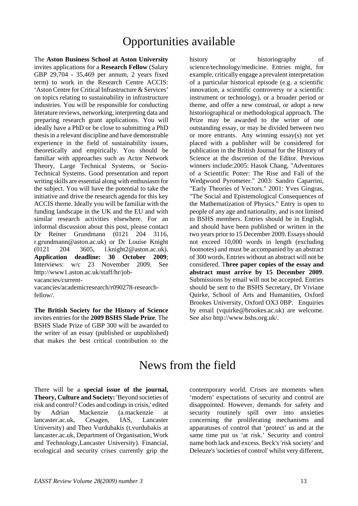## Opportunities available

The **Aston Business School at Aston University** invites applications for a **Research Fellow** (Salary GBP 29,704 - 35,469 per annum, 2 years fixed term) to work in the Research Centre ACCIS: 'Aston Centre for Critical Infrastructure & Services' on topics relating to sustainability in infrastructure industries. You will be responsible for conducting literature reviews, networking, interpreting data and preparing research grant applications. You will ideally have a PhD or be close to submitting a PhD thesis in a relevant discipline and have demonstrable experience in the field of sustainability issues, theoretically and empirically. You should be familiar with approaches such as Actor Network Theory, Large Technical Systems, or Socio-Technical Systems. Good presentation and report writing skills are essential along with enthusiasm for the subject. You will have the potential to take the initiative and drive the research agenda for this key ACCIS theme. Ideally you will be familiar with the funding landscape in the UK and the EU and with similar research activities elsewhere. For an informal discussion about this post, please contact Dr Reiner Grundmann (0121 204 3116, r.grundmann@aston.ac.uk) or Dr Louise Knight (0121 204 3605, l.knight2@aston.ac.uk). **Application deadline: 30 October 2009**; Interviews: w/c 23 November 2009. See http://www1.aston.ac.uk/staff/hr/jobvacancies/current-

vacancies/academicresearch/r090278-researchfellow/.

**The British Society for the History of Science** invites entries for the **2009 BSHS Slade Prize**. The BSHS Slade Prize of GBP 300 will be awarded to the writer of an essay (published or unpublished) that makes the best critical contribution to the

history or historiography of science/technology/medicine. Entries might, for example, critically engage a prevalent interpretation of a particular historical episode (e.g. a scientific innovation, a scientific controversy or a scientific instrument or technology), or a broader period or theme, and offer a new construal, or adopt a new historiographical or methodological approach. The Prize may be awarded to the writer of one outstanding essay, or may be divided between two or more entrants. Any winning essay(s) not yet placed with a publisher will be considered for publication in the British Journal for the History of Science at the discretion of the Editor. Previous winners include:2005: Hasok Chang, "Adventures of a Scientific Potter: The Rise and Fall of the Wedgwood Pyrometer." 2003: Sandro Caparrini, "Early Theories of Vectors." 2001: Yves Gingras, "The Social and Epistemological Consequences of the Mathematization of Physics." Entry is open to people of any age and nationality, and is not limited to BSHS members. Entries should be in English, and should have been published or written in the two years prior to 15 December 2009. Essays should not exceed 10,000 words in length (excluding footnotes) and must be accompanied by an abstract of 300 words. Entries without an abstract will not be considered. T**hree paper copies of the essay and abstract must arrive by 15 December 2009**. Submissions by email will not be accepted. Entries should be sent to the BSHS Secretary, Dr Viviane Quirke, School of Arts and Humanities, Oxford Brookes University, Oxford OX3 0BP. Enquiries by email (vquirke@brookes.ac.uk) are welcome. See also http://www.bshs.org.uk/.

## News from the field

There will be a **special issue of the journal, Theory, Culture and Society:** 'Beyond societies of risk and control? Codes and codings in crisis,' edited by Adrian Mackenzie (a.mackenzie at lancaster.ac.uk, Cesagen, IAS, Lancaster University) and Theo Vurdubakis (t.vurdubakis at lancaster.ac.uk, Department of Organisation, Work and Technology,Lancaster University). Financial, ecological and security crises currently grip the

contemporary world. Crises are moments when 'modern' expectations of security and control are disappointed. However, demands for safety and security routinely spill over into anxieties concerning the proliferating mechanisms and apparatuses of control that 'protect' us and at the same time put us 'at risk.' Security and control name both lack and excess. Beck's 'risk society' and Deleuze's 'societies of control' whilst very different,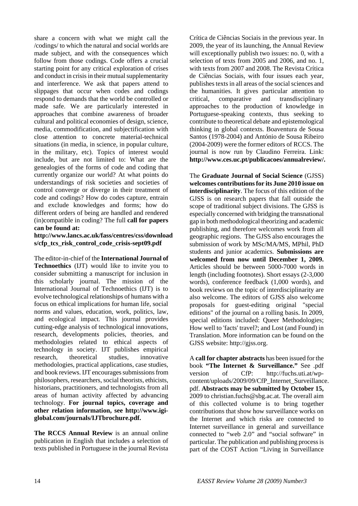share a concern with what we might call the /codings/ to which the natural and social worlds are made subject, and with the consequences which follow from those codings. Code offers a crucial starting point for any critical exploration of crises and conduct in crisis in their mutual supplementarity and interference. We ask that papers attend to slippages that occur when codes and codings respond to demands that the world be controlled or made safe. We are particularly interested in approaches that combine awareness of broader cultural and political economies of design, science, media, commodification, and subjectification with close attention to concrete material-technical situations (in media, in science, in popular culture, in the military, etc). Topics of interest would include, but are not limited to: What are the genealogies of the forms of code and coding that currently organize our world? At what points do understandings of risk societies and societies of control converge or diverge in their treatment of code and codings? How do codes capture, entrain and exclude knowledges and forms; how do different orders of being are handled and rendered (in)compatible in coding? The full **call for papers can be found at:** 

**http://www.lancs.ac.uk/fass/centres/css/download s/cfp\_tcs\_risk\_control\_code\_crisis-sept09.pdf** 

The editor-in-chief of the **International Journal of Technoethics** (IJT) would like to invite you to consider submitting a manuscript for inclusion in this scholarly journal. The mission of the International Journal of Technoethics (IJT) is to evolve technological relationships of humans with a focus on ethical implications for human life, social norms and values, education, work, politics, law, and ecological impact. This journal provides cutting-edge analysis of technological innovations, research, developments policies, theories, and methodologies related to ethical aspects of technology in society. IJT publishes empirical research, theoretical studies, innovative methodologies, practical applications, case studies, and book reviews. IJT encourages submissions from philosophers, researchers, social theorists, ethicists, historians, practitioners, and technologists from all areas of human activity affected by advancing technology. **For journal topics, coverage and other relation information, see http://www.igiglobal.com/journals/IJTbrochure.pdf.**

**The RCCS Annual Review** is an annual online publication in English that includes a selection of texts published in Portuguese in the journal Revista

Crítica de Ciências Sociais in the previous year. In 2009, the year of its launching, the Annual Review will exceptionally publish two issues: no. 0, with a selection of texts from 2005 and 2006, and no. 1, with texts from 2007 and 2008. The Revista Crítica de Ciências Sociais, with four issues each year, publishes texts in all areas of the social sciences and the humanities. It gives particular attention to critical, comparative and transdisciplinary approaches to the production of knowledge in Portuguese-speaking contexts, thus seeking to contribute to theoretical debate and epistemological thinking in global contexts. Boaventura de Sousa Santos (1978-2004) and António de Sousa Ribeiro (2004-2009) were the former editors of RCCS. The journal is now run by Claudino Ferreira. Link: **http://www.ces.uc.pt/publicacoes/annualreview/.**

The **Graduate Journal of Social Science** (GJSS) **welcomes contributions for its June 2010 issue on interdisciplinarity**. The focus of this edition of the GJSS is on research papers that fall outside the scope of traditional subject divisions. The GJSS is especially concerned with bridging the transnational gap in both methodological theorizing and academic publishing, and therefore welcomes work from all geographic regions. The GJSS also encourages the submission of work by MSc/MA/MS, MPhil, PhD students and junior academics. **Submissions are welcomed from now until December 1, 2009.** Articles should be between 5000-7000 words in length (including footnotes). Short essays (2-3,000 words), conference feedback (1,000 words), and book reviews on the topic of interdisciplinarity are also welcome. The editors of GJSS also welcome proposals for guest-editing original "special editions" of the journal on a rolling basis. In 2009, special editions included: Queer Methodologies; How well to 'facts' travel?; and Lost (and Found) in Translation. More information can be found on the GJSS website: http://gjss.org.

A **call for chapter abstracts** has been issued for the book **"The Internet & Surveillance."** See .pdf version of CfP: http://fuchs.uti.at/wpcontent/uploads/2009/09/CfP\_Internet\_Surveillance. pdf. **Abstracts may be submitted by October 15,** 2009 to christian.fuchs@sbg.ac.at. The overall aim of this collected volume is to bring together contributions that show how surveillance works on the Internet and which risks are connected to Internet surveillance in general and surveillance connected to "web 2.0" and "social software" in particular. The publication and publishing process is part of the COST Action "Living in Surveillance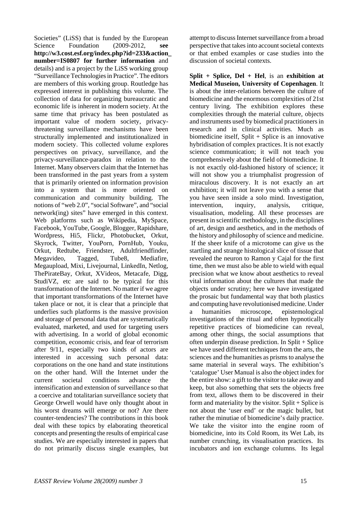Societies" (LiSS) that is funded by the European Science Foundation (2009-2012, **see http://w3.cost.esf.org/index.php?id=233&action\_ number=IS0807 for further information** and details) and is a project by the LiSS working group "Surveillance Technologies in Practice". The editors are members of this working group. Routledge has expressed interest in publishing this volume. The collection of data for organizing bureaucratic and economic life is inherent in modern society. At the same time that privacy has been postulated as important value of modern society, privacythreatening surveillance mechanisms have been structurally implemented and institutionalized in modern society. This collected volume explores perspectives on privacy, surveillance, and the privacy-surveillance-paradox in relation to the Internet. Many observers claim that the Internet has been transformed in the past years from a system that is primarily oriented on information provision into a system that is more oriented on communication and community building. The notions of "web 2.0", "social Software", and "social network(ing) sites" have emerged in this context. Web platforms such as Wikipedia, MySpace, Facebook, YouTube, Google, Blogger, Rapidshare, Wordpress, Hi5, Flickr, Photobucket, Orkut, Skyrock, Twitter, YouPorn, PornHub, Youku, Orkut, Redtube, Friendster, Adultfriendfinder, Megavideo, Tagged, Tube8, Mediafire, Megaupload, Mixi, Livejournal, LinkedIn, Netlog, ThePirateBay, Orkut, XVideos, Metacafe, Digg, StudiVZ, etc are said to be typical for this transformation of the Internet. No matter if we agree that important transformations of the Internet have taken place or not, it is clear that a principle that underlies such platforms is the massive provision and storage of personal data that are systematically evaluated, marketed, and used for targeting users with advertising. In a world of global economic competition, economic crisis, and fear of terrorism after 9/11, especially two kinds of actors are interested in accessing such personal data: corporations on the one hand and state institutions on the other hand. Will the Internet under the current societal conditions advance the intensification and extension of surveillance so that a coercive and totalitarian surveillance society that George Orwell would have only thought about in his worst dreams will emerge or not? Are there counter-tendencies? The contributions in this book deal with these topics by elaborating theoretical concepts and presenting the results of empirical case studies. We are especially interested in papers that do not primarily discuss single examples, but

attempt to discuss Internet surveillance from a broad perspective that takes into account societal contexts or that embed examples or case studies into the discussion of societal contexts.

**Split + Splice, Del + Hel**, is an **exhibition at Medical Museion, University of Copenhagen**. It is about the inter-relations between the culture of biomedicine and the enormous complexities of 21st century living. The exhibition explores these complexities through the material culture, objects and instruments used by biomedical practitioners in research and in clinical activities. Much as biomedicine itself,  $Split + Splice$  is an innovative hybridisation of complex practices. It is not exactly science communication; it will not teach you comprehensively about the field of biomedicine. It is not exactly old-fashioned history of science; it will not show you a triumphalist progression of miraculous discovery. It is not exactly an art exhibition; it will not leave you with a sense that you have seen inside a solo mind. Investigation, intervention, inquiry, analysis, critique, visualisation, modeling. All these processes are present in scientific methodology, in the disciplines of art, design and aesthetics, and in the methods of the history and philosophy of science and medicine. If the sheer knife of a microtome can give us the startling and strange histological slice of tissue that revealed the neuron to Ramon y Cajal for the first time, then we must also be able to wield with equal precision what we know about aesthetics to reveal vital information about the cultures that made the objects under scrutiny; here we have investigated the prosaic but fundamental way that both plastics and computing have revolutionised medicine. Under a humanities microscope, epistemological investigations of the ritual and often hypnotically repetitive practices of biomedicine can reveal, among other things, the social assumptions that often underpin disease prediction. In Split + Splice we have used different techniques from the arts, the sciences and the humanities as prisms to analyse the same material in several ways. The exhibition's 'catalogue' User Manual is also the object index for the entire show: a gift to the visitor to take away and keep, but also something that sets the objects free from text, allows them to be discovered in their form and materiality by the visitor. Split  $+$  Splice is not about the 'user end' or the magic bullet, but rather the minutiae of biomedicine's daily practice. We take the visitor into the engine room of biomedicine, into its Cold Room, its Wet Lab, its number crunching, its visualisation practices. Its incubators and ion exchange columns. Its legal